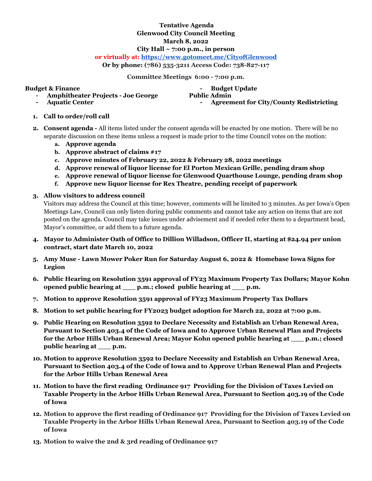## **Tentative Agenda Glenwood City Council Meeting March 8, 2022 City Hall ~ 7:00 p.m., in person**

## **or virtually at: <https://www.gotomeet.me/CityofGlenwood>**

**Or by phone: (786) 535-3211 Access Code: 738-827-117**

**Committee Meetings 6:00 - 7:00 p.m.**

**Budget & Finance - Amphitheater Projects - Joe George** **- Budget Update**

**- Aquatic Center**

**Public Admin - Agreement for City/County Redistricting**

- **1. Call to order/roll call**
- **2. Consent agenda -** All items listed under the consent agenda will be enacted by one motion. There will be no separate discussion on these items unless a request is made prior to the time Council votes on the motion:
	- **a. Approve agenda**
	- **b. Approve abstract of claims #17**
	- **c. Approve minutes of February 22, 2022 & February 28, 2022 meetings**
	- **d. Approve renewal of liquor license for El Porton Mexican Grille, pending dram shop**
	- **e. Approve renewal of liquor license for Glenwood Quarthouse Lounge, pending dram shop**
	- **f. Approve new liquor license for Rex Theatre, pending receipt of paperwork**
- **3. Allow visitors to address council**

Visitors may address the Council at this time; however, comments will be limited to 3 minutes. As per Iowa's Open Meetings Law, Council can only listen during public comments and cannot take any action on items that are not posted on the agenda. Council may take issues under advisement and if needed refer them to a department head, Mayor's committee, or add them to a future agenda.

- **4. Mayor to Administer Oath of Office to Dillion Willadson, Officer II, starting at \$24.94 per union contract, start date March 10, 2022**
- **5. Amy Muse Lawn Mower Poker Run for Saturday August 6, 2022 & Homebase Iowa Signs for Legion**
- **6. Public Hearing on Resolution 3591 approval of FY23 Maximum Property Tax Dollars; Mayor Kohn opened public hearing at \_\_\_ p.m.; closed public hearing at \_\_\_ p.m.**
- **7. Motion to approve Resolution 3591 approval of FY23 Maximum Property Tax Dollars**
- **8. Motion to set public hearing for FY2023 budget adoption for March 22, 2022 at 7:00 p.m.**
- **9. Public Hearing on Resolution 3592 to Declare Necessity and Establish an Urban Renewal Area, Pursuant to Section 403.4 of the Code of Iowa and to Approve Urban Renewal Plan and Projects for the Arbor Hills Urban Renewal Area; Mayor Kohn opened public hearing at \_\_\_ p.m.; closed public hearing at \_\_\_ p.m.**
- **10. Motion to approve Resolution 3592 to Declare Necessity and Establish an Urban Renewal Area, Pursuant to Section 403.4 of the Code of Iowa and to Approve Urban Renewal Plan and Projects for the Arbor Hills Urban Renewal Area**
- **11. Motion to have the first reading Ordinance 917 Providing for the Division of Taxes Levied on Taxable Property in the Arbor Hills Urban Renewal Area, Pursuant to Section 403.19 of the Code of Iowa**
- **12. Motion to approve the first reading of Ordinance 917 Providing for the Division of Taxes Levied on Taxable Property in the Arbor Hills Urban Renewal Area, Pursuant to Section 403.19 of the Code of Iowa**
- **13. Motion to waive the 2nd & 3rd reading of Ordinance 917**